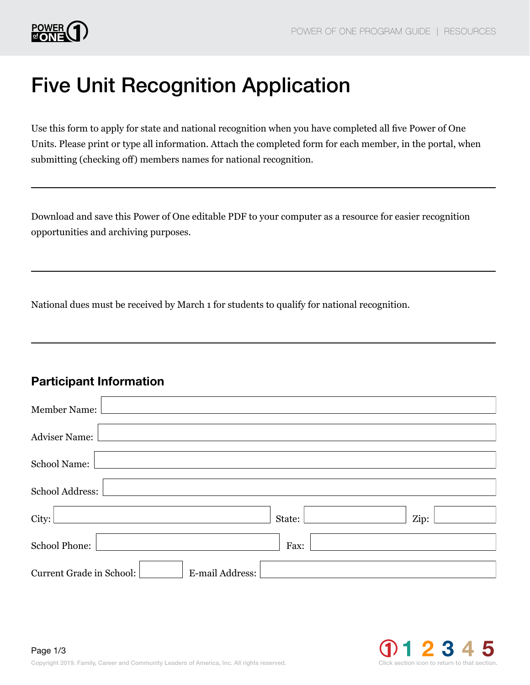

# Five Unit Recognition Application

Use this form to apply for state and national recognition when you have completed all five Power of One Units. Please print or type all information. Attach the completed form for each member, in the portal, when submitting (checking off) members names for national recognition.

Download and save this Power of One editable PDF to your computer as a resource for easier recognition opportunities and archiving purposes.

National dues must be received by March 1 for students to qualify for national recognition.

#### Participant Information

| <b>Member Name:</b>                         |        |      |
|---------------------------------------------|--------|------|
| <b>Adviser Name:</b>                        |        |      |
| <b>School Name:</b>                         |        |      |
| School Address:                             |        |      |
| City:                                       | State: | Zip: |
| School Phone:                               | Fax:   |      |
| Current Grade in School:<br>E-mail Address: |        |      |

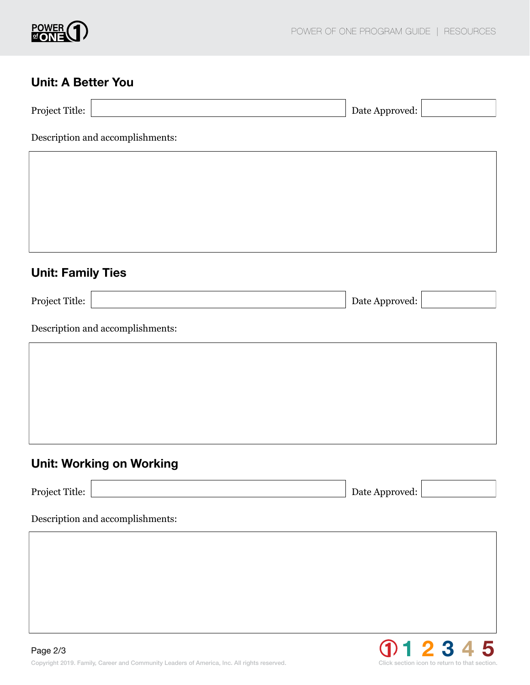

#### Unit: A Better You

| <b>Project Title:</b> | Date Approved: |  |
|-----------------------|----------------|--|

Description and accomplishments:

## Unit: Family Ties

Project Title: Date Approved:

Description and accomplishments:

# Unit: Working on Working

Project Title: Date Approved:

#### Description and accomplishments: